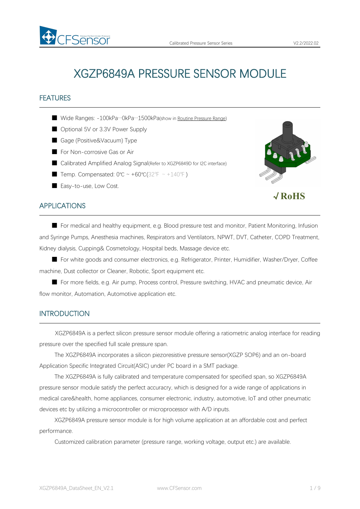

# FEATURES

- Wide Ranges: -100kPa…0kPa…1500kPa(show in Routine [Pressure](#page-4-0) Range)
- Optional 5V or 3.3V Power Supply
- Gage (Positive&Vacuum) Type
- For Non-corrosive Gas or Air

FSAMSOr

- Calibrated Amplified Analog Signal(Refer to XGZP6849D for I2C interface)
- Temp. Compensated:  $0^{\circ}C \sim +60^{\circ}C(32^{\circ}F \sim +140^{\circ}F)$
- Easy-to-use, Low Cost.



## APPLICATIONS

■ For medical and healthy equipment, e.g. Blood pressure test and monitor, Patient Monitoring, Infusion and Syringe Pumps, Anesthesia machines, Respirators and Ventilators, NPWT, DVT, Catheter, COPD Treatment, Kidney dialysis, Cupping& Cosmetology, Hospital beds, Massage device etc.

■ For white goods and consumer electronics, e.g. Refrigerator, Printer, Humidifier, Washer/Dryer, Coffee machine, Dust collector or Cleaner, Robotic, Sport equipment etc.

■ For more fields, e.g. Air pump, Process control, Pressure switching, HVAC and pneumatic device, Air flow monitor, Automation, Automotive application etc.

## **INTRODUCTION**

XGZP6849A is a perfect silicon pressure sensor module offering a ratiometric analog interface for reading pressure over the specified full scale pressure span.

The XGZP6849A incorporates a silicon piezoresistive pressure sensor(XGZP SOP6) and an on-board Application Specific Integrated Circuit(ASIC) under PC board in a SMT package.

The XGZP6849A is fully calibrated and temperature compensated for specified span, so XGZP6849A pressure sensor module satisfy the perfect accuracry, which is designed for a wide range of applications in medical care&health, home appliances, consumer electronic, industry, automotive, loT and other pneumatic devices etc by utilizing a microcontroller or microprocessor with A/D inputs.

XGZP6849A pressure sensor module is for high volume application at an affordable cost and perfect performance.

Customized calibration parameter (pressure range, working voltage, output etc.) are available.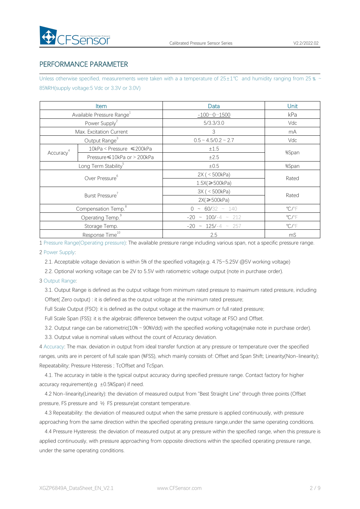# PERFORMANCE PARAMETER

Unless otherwise specified, measurements were taken with a a temperature of  $25±1°C$  and humidity ranging from 25  $\%$  ~ 85%RH(supply voltage:5 Vdc or 3.3V or 3.0V)

|                       | <b>Item</b>                           | Data                        | Unit                       |
|-----------------------|---------------------------------------|-----------------------------|----------------------------|
|                       | Available Pressure Range <sup>1</sup> | $-10001500$                 | kPa                        |
|                       | Power Supply <sup>2</sup>             | 5/3.3/3.0                   | Vdc                        |
|                       | Max. Excitation Current               | $\mathcal{S}$               | mA                         |
|                       | Output Range <sup>3</sup>             | $0.5 \sim 4.5/0.2 \sim 2.7$ | Vdc                        |
|                       | 10kPa < Pressure ≤200kPa              | ±1.5                        |                            |
| Accuracy <sup>4</sup> | Pressure ≤10kPa or > 200kPa           | ±2.5                        | %Span                      |
|                       | Long Term Stability <sup>5</sup>      | ±0.5                        | %Span                      |
|                       | Over Pressure <sup>6</sup>            | 2X ( < 500kPa)              |                            |
|                       |                                       | $1.5X$ $\geq 500kPa$        | Rated                      |
|                       | Burst Pressure <sup>7</sup>           | 3X ( < 500kPa)              |                            |
|                       |                                       | $2X \geqslant 500kPa$       | Rated                      |
|                       | Compensation Temp. <sup>8</sup>       | $0 \sim 60/32 \sim 140$     | $^{\circ}$ C/ $^{\circ}$ F |
|                       | Operating Temp. <sup>9</sup>          | $-20 \sim 100/-4 \sim 212$  | $\mathrm{C}/\mathrm{F}$    |
|                       | Storage Temp.                         | $-20 \sim 125/-4 \sim 257$  | $\mathrm{C}/\mathrm{F}$    |
|                       | Response Time <sup>10</sup>           | 2.5                         | mS                         |

1 Pressure Range(Operating pressure): The available pressure range including variousspan, not a specific pressure range.

#### 2 Power Supply:

2.1. Acceptable voltage deviation is within 5% of the specified voltage(e.g. 4.75~5.25V @5V working voltage)

2.2. Optional working voltage can be 2V to 5.5V with ratiometric voltage output (note in purchase order).

#### 3 Output Range:

3.1. Output Range is defined as the output voltage from minimum rated pressure to maximum rated pressure, including Offset( Zero output) : it is defined as the output voltage at the minimum rated pressure;

Full Scale Output (FSO): it is defined as the output voltage at the maximum or full rated pressure;

Full Scale Span (FSS): it is the algebraic difference between the output voltage at FSO and Offset.

3.2. Output range can be ratiometric(10%~90%Vdd) with the specified working voltage(make note in purchase order).

3.3. Output value is nominal values without the count of Accuracy deviation.

4 Accuracy: The max. deviation in output from ideal transfer function at any pressure or temperature over the specified ranges, units are in percent of full scale span (%FSS), which mainly consists of: Offset and Span Shift; Linearity(Non-linearity); Repeatability; Pressure Hsteresis ; TcOffset and TcSpan.

4.1. The accuracy in table is the typical output accuracy during specified pressure range. Contact factory for higher accuracy requirement(e.g  $\pm 0.5$ %Span) if need.

4.2 Non-linearity(Linearity): the deviation of measured output from "Best Straight Line" through three points (Offset pressure, FS pressure and ½ FS pressure)at constant temperature.

4.3 Repeatability: the deviation of measured output when the same pressure is applied continuously, with pressure approaching from the same direction within the specified operating pressure range,under the same operating conditions.

4.4 Pressure Hysteresis: the deviation of measured output at any pressure within the specified range, when this pressure is applied continuously, with pressure approaching from opposite directions within the specified operating pressure range, under the same operating conditions.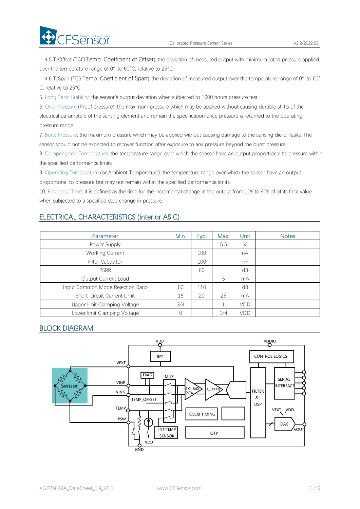**CFSensor** 

4.5 TcOffset (TCO:Temp. Coefficient of Offset): the deviation of measured output with minimum rated pressure applied, over the temperature range of 0° to 60°C, relative to 25°C.

4.6 TcSpan (TCS:Temp. Coefficient of Span): the deviation of measured output over the temperature range of 0° to 60° C, relative to 25°C.

5. Long Term Stability: the sensor's output deviation when subjected to 1000 hours pressure test.

6. Over Pressure (Proof pressure): the maximum pressure which may be applied without causing durable shifts of the electrical parameters of the sensing element and remain the specification once pressure is returned to the operating pressure range.

7. Burst Pressure: the maximum pressure which may be applied without causing damage to the sensing die or leaks; The sensor should not be expected to recover function after exposure to any pressure beyond the burst pressure.

8. Compensated Temperature: the temperature range over which the sensor have an output proportional to pressure within the specified performance limits.

9. Operating Temperature (or Ambient Temperature): the temperature range over which the sensor have an output proportional to pressure but may not remain within the specified performance limits.

10. Response Time: it is defined as the time for the incremental change in the output from 10% to 90% of of its final value when subjected to a specified step change in pressure.

# ELECTRICAL CHARACTERISTICS (interior ASIC)

| <b>Parameter</b>                  | Min.     | Typ. | Max. | Unit | <b>Notes</b> |
|-----------------------------------|----------|------|------|------|--------------|
| Power Supply                      |          |      | 5.5  | V    |              |
| <b>Working Current</b>            |          | 100  |      | nA   |              |
| <b>Filter Capacitor</b>           |          | 100  |      | nF   |              |
| <b>PSRR</b>                       |          | 60   |      | dB   |              |
| Output Current Load               |          |      | 5    | mA   |              |
| Input Common Mode Rejection Ratio | 80       | 110  |      | dB   |              |
| Short-circuit Current Limit       | 15       | 20   | 25   | mA   |              |
| Upper limit Clamping Voltage      | 3/4      |      |      | VDD  |              |
| Lower limit Clamping Voltage      | $\Omega$ |      | 1/4  | VDD  |              |

# BLOCK DIAGRAM

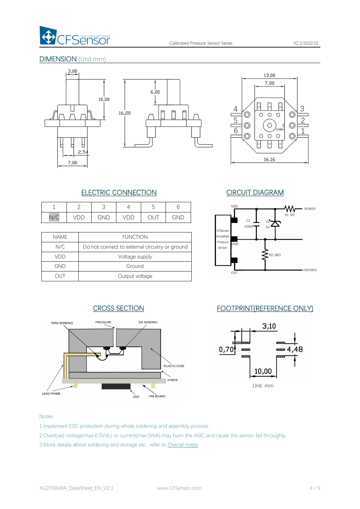

# DIMENSION (Unit:mm)









# CROSS SECTION FOOTPRINT(REFERENCE ONLY)



# ELECTRIC CONNECTION CIRCUIT DIAGRAM

| ∸                 |                      |     |     |    |     | VDD          |
|-------------------|----------------------|-----|-----|----|-----|--------------|
| $\sqrt{2}$<br>N/C | $\overline{ }$<br>レレ | GND | 'UU | ◡◡ | GND | $\sim$<br>LТ |

|             |                                                | ∎∪rəensor          |     |
|-------------|------------------------------------------------|--------------------|-----|
| <b>NAME</b> | <b>FUNCTION</b>                                | Amplified          |     |
| N/C         | Do not connect to external circuitry or ground | Pressure<br>Sensor | GND |
| VDD         | Voltage supply                                 |                    |     |
| GND         | Ground                                         |                    |     |
|             | Output voltage                                 |                    | OUT |



### Notes:

- 1.Implement ESD protection during whole soldering and assembly process.
- 2.Overload voltage(max.6.5Vdc) or current(max.5mA) may burn the ASIC and cause the sensor fail throughly.
- 3.More detalis about soldering and storage etc., refer to [Overall](#page-6-0) notes.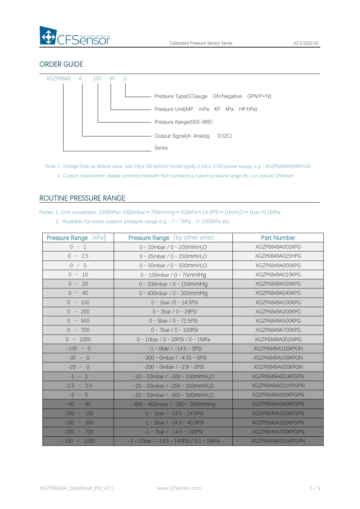

# ORDER GUIDE



- Note: 1. Voltage 5Vdc as default value, add 33(or 30) behind model signify 3.3V(or 3.0V) power supply, e.g. : XGZP6849A040KPG33.
	- 2. Custom requirement, please comment herewith Part number(e.g custom pressure range etc,.) or consult CFSensor

# <span id="page-4-0"></span>ROUTINE PRESSURE RANGE

Notes: 1. Unit conversion: 1000hPa=1000mbar≈750mmHg≈100kPa≈14.5PSI≈10mH2O≈1bar=0.1MPa;

2. Available for more custom pressure range e.g.  $-7 \sim 7kPa$ , , 0-1500kPa etc,.

| <b>Pressure Range (kPa)</b> | <b>Pressure Range</b> (by other units)                  | <b>Part Number</b> |
|-----------------------------|---------------------------------------------------------|--------------------|
| $0 \sim 1$                  | $0 \sim 10$ mbar / $0 \sim 100$ mmH <sub>2</sub> O      | XGZP6849A001KPG    |
| $0 \sim 2.5$                | 0 ~ 25mbar / 0 ~ 250mmH <sub>2</sub> O                  | XGZP6849A025HPG    |
| $0 \sim 5$                  | 0 ~ 50mbar / 0 ~ 500mmH <sub>2</sub> O                  | XGZP6849A005KPG    |
| $0 \sim 10$                 | $0 \sim 100$ mbar / $0 \sim 75$ mmHg                    | XGZP6849A010KPG    |
| $0 \sim 20$                 | $0 \sim 200$ mbar / $0 \sim 150$ mmHg                   | XGZP6849A020KPG    |
| $0 \sim 40$                 | $0 \sim 400$ mbar / $0 \sim 300$ mmHg                   | XGZP6849A040KPG    |
| $0 \sim 100$                | $0 \sim 1$ bar /0 ~ 14.5PSI                             | XGZP6849A100KPG    |
| $0 \sim 200$                | $0 \sim 2$ bar / $0 \sim 29$ PSI                        | XGZP6849A200KPG    |
| $0 \sim 500$                | $0 \sim 5$ bar / $0 \sim 72.5$ PSI                      | XGZP6849A500KPG    |
| $0 \sim 700$                | $0 \sim 7$ bar / $0 \sim 100$ PSI                       | XGZP6849A700KPG    |
| $0 \sim 1000$               | $0 \sim 10$ bar / $0 \sim 29$ PSI / $0 \sim 1$ MPa      | XGZP6849A001MPG    |
| $-100 ~ \sim ~ 0$           | $-1 \sim 0$ bar / $-14.5 \sim 0$ PSI                    | XGZP6849A100KPGN   |
| $-30 \sim 0$                | $-300 \sim$ 0mbar / $-4.35 \sim$ 0PSI                   | XGZP6849A030KPGN   |
| $-20$ ~ 0                   | $-200 \sim$ 0mbar / $-2.9 \sim$ 0PSI                    | XGZP6849A020KPGN   |
| $-1 \sim 1$                 | $-10 \sim 10$ mbar / $-100 \sim 100$ mmH <sub>2</sub> O | XGZP6849A001KPGPN  |
| $-2.5$ ~ 2.5                | $-25 \sim 25$ mbar / $-250 \sim 250$ mmH <sub>2</sub> O | XGZP6849A025HPGPN  |
| $-5 \sim 5$                 | $-50 \sim 50$ mbar / $-500 \sim 500$ mmH <sub>2</sub> O | XGZP6849A005KPGPN  |
| $-40 \sim 40$               | $-400 \sim 400$ mbar / $-300 \sim 300$ mm Hg            | XGZP6849A040KPGPN  |
| $-100 \sim 100$             | $-1 \sim 1$ bar / $-14.5 \sim 14.5$ PSI                 | XGZP6849A100KPGPN  |
| $-100 \sim 300$             | $-1 \sim 3$ bar / $-14.5 \sim 43.5$ PSI                 | XGZP6849A300KPGPN  |
| $-100 \sim 700$             | $-1 \sim 7$ bar / $-14.5 \sim 100$ PSI                  | XGZP6849A700KPGPN  |
| $-100$ ~ 1000               | $-1$ ~ 10bar / $-14.5$ ~ 145PSI / 0.1 ~ 1MPa            | XGZP6849A001MPGPN  |
|                             |                                                         |                    |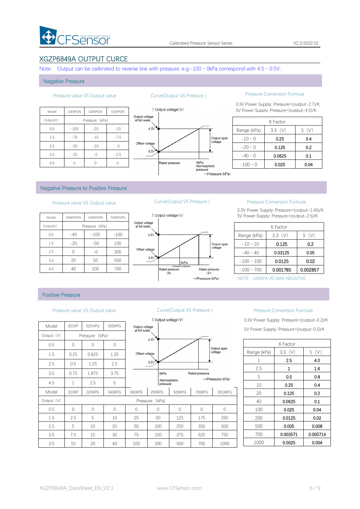

# XGZP6849A OUTPUT CURCE

Note: Output can be calibrated to reverse line with pressure, e.g.-100  $\sim$  0kPa correspond with 4.5  $\sim$  0.5V;

#### Negative Pressure

| <b>Ou</b>                       | 010KPGN | 020KPGN        | 100KPGN | Model     |
|---------------------------------|---------|----------------|---------|-----------|
| Output voltage<br>at full scale |         | Pressure (kPa) |         | Output(V) |
| 4.5V                            | $-10$   | $-20$          | $-100$  | 0.5       |
|                                 | $-7.5$  | $-15$          | $-75$   | 1.5       |
| Offset voltage                  | $-5$    | $-10$          | $-50$   | 2.5       |
| 0.51<br>                        | $-2.5$  | $-5$           | $-25$   | 3.5       |
|                                 |         |                |         | 4.5       |



### Pressure value VS Output value Curve(Output VS Pressure ) Pressure Conversion Formula

3.3V Power Supply: Pressure=(output-2.7)/K 1 Output voltage (V) 5V Power Supply: Pressure=(output-4.5)/K

|               | K Factor |      |
|---------------|----------|------|
| Range (kPa)   | 3.3(V)   | 5(V) |
| $-10 \sim 0$  | 0.25     | 0.4  |
| $-20 \sim 0$  | 0.125    | 0.2  |
| $-40 \sim 0$  | 0.0625   | 0.1  |
| $-100 \sim 0$ | 0.025    | 0.04 |

### Negative Pressure to Positive Pressure

| 1 Output vo                     | 700KPGPN | 100KPGPN       | 040KPGPN | Model     |
|---------------------------------|----------|----------------|----------|-----------|
| Output voltage<br>at full scale |          | Pressure (kPa) |          | Output(V) |
| 4.5V                            | $-100$   | $-100$         | $-40$    | 0.5       |
|                                 | 100      | $-50$          | $-20$    | 1.5       |
| Offset voltage                  | 300      | $-0$           |          | 2.5       |
| 0.5V                            | 500      | 50             | 20       | 3.5       |
| <b>Rated</b> pr                 | 700      | 100            | 40       | 4.5       |



### Pressure value VS Output value Curve(Output VS Pressure ) Pressure Conversion Formula

3.3V Power Supply: Pressure=(output-1.45)/K 5V Power Supply: Pressure=(output-2.5)/K

|                 | K Factor  |          |
|-----------------|-----------|----------|
| Range (kPa)     | $3.3$ (V) | (V)<br>5 |
| $-10 \sim 10$   | 0.125     | 0.2      |
| $-40 \sim 40$   | 0.03125   | 0.05     |
| $-100 \sim 100$ | 0.0125    | 0.02     |
| $-100 \sim 700$ | 0.001785  | 0.002857 |

NOTE: -100KPA AS MAX NEGATIVE

### Positive Pressure

#### Pressure value VS Output value Curve(Output VS Pressure ) Pressure Conversion Formula

|            |              |                   |          |                                 | $\sqrt{2}$ Uutput voltage (v) |               |                |                              | o.ov Power out |
|------------|--------------|-------------------|----------|---------------------------------|-------------------------------|---------------|----------------|------------------------------|----------------|
| Model      | 001KP        | 025HPG            | 005KPG   | Output voltage<br>at full scale |                               |               |                |                              | 5V Power Supp  |
| Output (V) |              | (kPa)<br>Pressure |          |                                 | 4.5V                          |               |                |                              |                |
| 0.5        | $\Omega$     | $\Omega$          | $\Omega$ |                                 |                               |               |                | Output span                  |                |
| 1.5        | 0.25         | 0.625             | 1.25     | Offset voltage                  |                               |               |                | voltage                      | Range (kPa)    |
| 2.5        | 0.5          | 1.25              | 2.5      |                                 | 0.5V                          |               |                |                              | 1              |
|            |              |                   |          |                                 |                               |               |                |                              | 2.5            |
| 3.5        | 0.75         | 1.875             | 3.75     |                                 | OkPa                          |               | Rated pressure | $\rightarrow$ Pressure (kPa) | 5              |
| 4.5        | $\mathbf{1}$ | 2.5               | 5        |                                 | Atomospheric<br>pressure      |               |                |                              | 10             |
| Model      | 010KP        | 020KPG            | 040KPG   | 060KPG                          | 200KPG                        | <b>500KPG</b> | 700KPG         | 001MPG                       | 20             |
| Output (V) |              |                   |          |                                 | Pressure (kPa)                |               |                |                              | 40             |
| 0.5        | $\Omega$     | $\bigcap$         | $\Omega$ | $\Omega$                        | $\Omega$                      | $\Omega$      | $\Omega$       | $\Omega$                     | 100            |
| 1.5        | 2.5          | 5                 | 10       | 25                              | 50                            | 125           | 175            | 250                          | 200            |
| 2.5        | 5            | 10                | 20       | 50                              | 100                           | 250           | 350            | 500                          | 500            |
| 3.5        | 7.5          | 15                | 30       | 75                              | 150                           | 375           | 525            | 750                          | 700            |
| 3.5        | 10           | 20                | 40       | 100                             | 200                           | 500           | 700            | 1000                         | 1000           |



3.3V Power Supply: Pressure=(output-0.2)/K 5V Power Supply: Pressure=(output-0.5)/K

|             | K Factor    |          |
|-------------|-------------|----------|
|             |             |          |
| Range (kPa) | 3.3(V)      | 5(V)     |
| 1           | 2.5         | 4.0      |
| 2.5         | $\mathbf 1$ | 1.6      |
| 5           | 0.5         | 0.8      |
| 10          | 0.25        | 0.4      |
| 20          | 0.125       | 0.2      |
| 40          | 0.0625      | 0.1      |
| 100         | 0.025       | 0.04     |
| 200         | 0.0125      | 0.02     |
| 500         | 0.005       | 0.008    |
| 700         | 0.003571    | 0.005714 |
| 1000        | 0.0025      | 0.004    |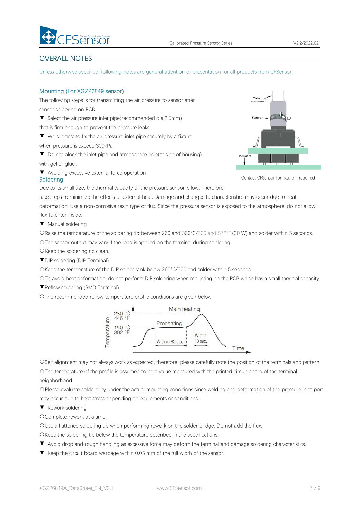

# <span id="page-6-0"></span>OVERALL NOTES

Unless otherwise specified, following notes are general attention or presentation for all products from CFSensor.

### Mounting (For XGZP6849 sensor)

The following steps is for transmitting the air pressure to sensor after sensor soldering on PCB.

▼ Select the air pressure inlet pipe(recommended dia:2.5mm)

that is firm enough to prevent the pressure leaks.

▼ We suggest to fix the air pressure inlet pipe securely by a fixture when pressure is exceed 300kPa.

▼ Do not block the inlet pipe and atmosphere hole(at side of housing) with gel or glue..

▼ Avoiding excessive external force operation



Contact CFSensor for fixture if required

Due to its small size, the thermal capacity of the pressure sensor is low. Therefore,

take steps to minimize the effects of external heat. Damage and changes to characteristics may occur due to heat deformation. Use a non-corrosive resin type of flux. Since the pressure sensor is exposed to the atmosphere, do not allow flux to enter inside.

▼ Manual soldering

**Soldering** 

☉Raise the temperature of the soldering tip between 260 and 300°C/500 and 572°F (30 W) and solder within 5 seconds. ☉The sensor output may vary if the load is applied on the terminal during soldering.

☉Keep the soldering tip clean.

▼DIP soldering (DIP Terminal)

☉Keep the temperature of the DIP solder tank below 260°C/500 and solder within 5 seconds.

☉To avoid heat deformation, do not perform DIP soldering when mounting on the PCB which has a small thermal capacity.

▼Reflow soldering (SMD Terminal)

☉The recommended reflow temperature profile conditions are given below.



☉Self alignment may not always work as expected, therefore, please carefully note the position of the terminals and pattern. ☉The temperature of the profile is assumed to be a value measured with the printed circuit board of the terminal

neighborhood.

☉Please evaluate solderbility under the actual mounting conditions since welding and deformation of the pressure inlet port may occur due to heat stress depending on equipments or conditions.

▼ Rework soldering

☉Complete rework at a time.

☉Use a flattened soldering tip when performing rework on the solder bridge. Do not add the flux.

☉Keep the soldering tip below the temperature described in the specifications.

- ▼ Avoid drop and rough handling as excessive force may deform the terminal and damage soldering characteristics.
- ▼ Keep the circuit board warpage within 0.05 mm of the full width of the sensor.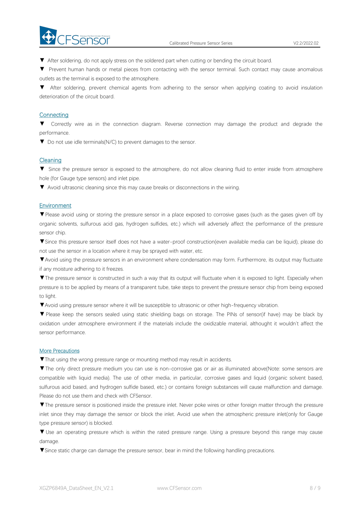

▼ After soldering, do not apply stress on the soldered part when cutting or bending the circuit board.

▼ Prevent human hands or metal pieces from contacting with the sensor terminal. Such contact may cause anomalous outlets as the terminal is exposed to the atmosphere.

▼ After soldering, prevent chemical agents from adhering to the sensor when applying coating to avoid insulation deterioration of the circuit board.

### **Connecting**

▼ Correctly wire as in the connection diagram. Reverse connection may damage the productand degrade the performance.

▼ Do not use idle terminals(N/C) to prevent damages to the sensor.

#### Cleaning

▼ Since the pressure sensor is exposed to the atmosphere, do not allow cleaning fluid to enter inside from atmosphere hole (for Gauge type sensors) and inlet pipe.

▼ Avoid ultrasonic cleaning since this may cause breaks or disconnections in the wiring.

#### **Environment**

▼Please avoid using or storing the pressure sensor in a place exposed to corrosive gases (such as the gases given off by organic solvents, sulfurous acid gas, hydrogen sulfides, etc.) which will adversely affect the performance of the pressure sensor chip.

▼Since this pressure sensor itself does not have a water-proof construction(even available media can be liquid), please do not use the sensor in alocation where it may be sprayed with water, etc.

▼Avoid using the pressure sensors in an environment where condensation may form. Furthermore, its output may fluctuate if any moisture adhering to it freezes.

▼The pressure sensor is constructed in such a way that its output will fluctuate when it is exposed to light. Especially when pressure is to be applied by means of a transparent tube, take steps to prevent the pressure sensor chip from being exposed to light.

▼Avoid using pressure sensor where it will be susceptible to ultrasonic or other high-frequency vibration.

▼ Please keep the sensors sealed using static shielding bags on storage. The PINs of sensor(if have) may be black by oxidation under atmosphere environment if the materials include the oxidizable material, althought it wouldn't affect the sensor performance.

#### More Precautions

▼That using the wrong pressure range or mounting method mayresult in accidents.

▼The only direct pressure medium you can use is non-corrosive gas or air as illuminated above(Note: some sensors are compatible with liquid media). The use of other media, in particular, corrosive gases and liquid (organic solvent based, sulfurous acid based, and hydrogen sulfide based, etc.) or contains foreign substances will cause malfunction and damage.<br>Please do not use them and check with CFSensor.

▼The pressure sensor is positioned inside the pressure inlet. Never poke wires orother foreign matter through the pressure inlet since they may damage the sensor or block the inlet. Avoid use when the atmospheric pressure inlet(only for Gauge type pressure sensor) is blocked.

▼ Use an operating pressure which is within the rated pressure range. Using a pressure beyond this range may cause damage.

▼Since static charge can damage the pressure sensor, bear in mind the following handling precautions.